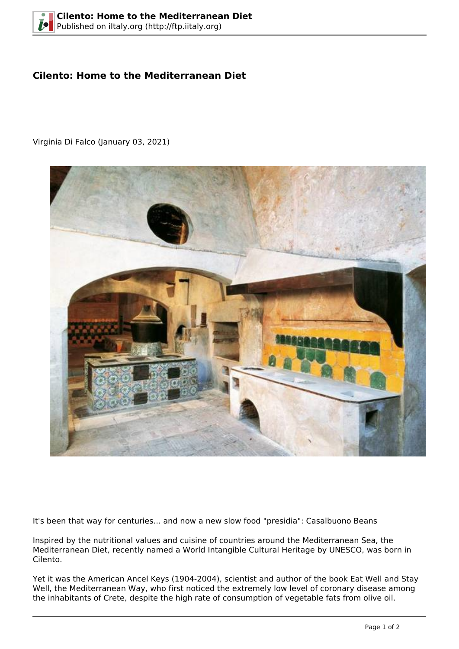## **Cilento: Home to the Mediterranean Diet**

Virginia Di Falco (January 03, 2021)



It's been that way for centuries... and now a new slow food "presidia": Casalbuono Beans

Inspired by the nutritional values and cuisine of countries around the Mediterranean Sea, the Mediterranean Diet, recently named a World Intangible Cultural Heritage by UNESCO, was born in Cilento.

Yet it was the American Ancel Keys (1904-2004), scientist and author of the book Eat Well and Stay Well, the Mediterranean Way, who first noticed the extremely low level of coronary disease among the inhabitants of Crete, despite the high rate of consumption of vegetable fats from olive oil.